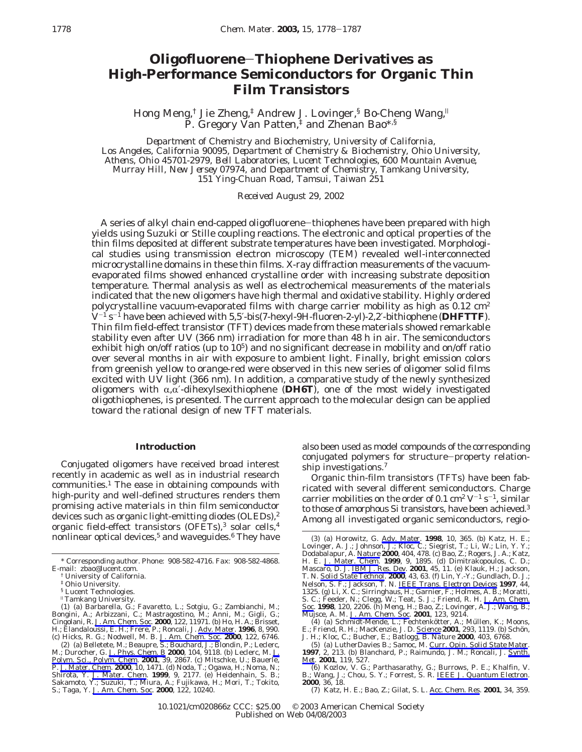# **Oligofluorene**-**Thiophene Derivatives as High-Performance Semiconductors for Organic Thin Film Transistors**

Hong Meng,† Jie Zheng,‡ Andrew J. Lovinger,§ Bo-Cheng Wang,<sup>|</sup> P. Gregory Van Patten,‡ and Zhenan Bao\*,§

*Department of Chemistry and Biochemistry, University of California, Los Angeles, California 90095, Department of Chemistry & Biochemistry, Ohio University, Athens, Ohio 45701-2979, Bell Laboratories, Lucent Technologies, 600 Mountain Avenue, Murray Hill, New Jersey 07974, and Department of Chemistry, Tamkang University, 151 Ying-Chuan Road, Tamsui, Taiwan 251*

*Received August 29, 2002*

A series of alkyl chain end-capped oligofluorene-thiophenes have been prepared with high yields using Suzuki or Stille coupling reactions. The electronic and optical properties of the thin films deposited at different substrate temperatures have been investigated. Morphological studies using transmission electron microscopy (TEM) revealed well-interconnected microcrystalline domains in these thin films. X-ray diffraction measurements of the vacuumevaporated films showed enhanced crystalline order with increasing substrate deposition temperature. Thermal analysis as well as electrochemical measurements of the materials indicated that the new oligomers have high thermal and oxidative stability. Highly ordered polycrystalline vacuum-evaporated films with charge carrier mobility as high as  $0.12 \text{ cm}^2$ V-<sup>1</sup> s-<sup>1</sup> have been achieved with 5,5′-bis(7-hexyl-9*H*-fluoren-2-yl)-2,2′-bithiophene (**DHFTTF**). Thin film field-effect transistor (TFT) devices made from these materials showed remarkable stability even after UV (366 nm) irradiation for more than 48 h in air. The semiconductors exhibit high on/off ratios (up to  $10^5$ ) and no significant decrease in mobility and on/off ratio over several months in air with exposure to ambient light. Finally, bright emission colors from greenish yellow to orange-red were observed in this new series of oligomer solid films excited with UV light (366 nm). In addition, a comparative study of the newly synthesized oligomers with  $\alpha, \alpha'$ -dihexylsexithiophene (**DH6T**), one of the most widely investigated oligothiophenes, is presented. The current approach to the molecular design can be applied toward the rational design of new TFT materials.

### **Introduction**

Conjugated oligomers have received broad interest recently in academic as well as in industrial research  $commu nities.1$  The ease in obtaining compounds with high-purity and well-defined structures renders them promising active materials in thin film semiconductor devices such as organic light-emitting diodes (OLEDs),<sup>2</sup> organic field-effect transistors (OFETs),<sup>3</sup> solar cells,<sup>4</sup> nonlinear optical devices,<sup>5</sup> and waveguides.<sup>6</sup> They have

also been used as model compounds of the corresponding conjugated polymers for structure-property relationship investigations.<sup>7</sup>

Organic thin-film transistors (TFTs) have been fabricated with several different semiconductors. Charge carrier mobilities on the order of 0.1 cm<sup>2</sup>  $V^{-1}$  s<sup>-1</sup>, similar to those of amorphous Si transistors, have been achieved.<sup>3</sup> Among all investigated organic semiconductors, regio-

<sup>\*</sup> Corresponding author. Phone: 908-582-4716. Fax: 908-582-4868. E-mail: zbao@lucent.com.

<sup>†</sup> University of California.

<sup>‡</sup> Ohio University.

<sup>§</sup> Lucent Technologies.

<sup>&</sup>quot;Tamkang University.<br>
(1) (a) Barbarella, G.; Favaretto, L.; Sotgiu, G.; Zambianchi, M.; Gongini, A.; Arbizzani, C.; Mastragostino, M.; Anni, M.; Gigli, G.; Cingolani, R. *J. Am. Chem. Soc.* **2000**, *122*, 11971. (b) Ho,

M.; Durocher, G. *J. Phys. Chem. B* **2000**, *104*, 9118. (b) Leclerc, M. *J. Polym. Sci., Polym. Chem*. **2001**, *39*, 2867. (c) Mitschke, U.; Bauerle, P. *J. Mater. Chem.* **2000**, *10*, 1471. (d) Noda, T.; Ogawa, H.; Noma, N.;<br>Shirota, Y. *J. Mater. Chem.* **1999**, *9*, 2177. (e) Heidenhain, S. B.;<br>Sakamoto, Y.; Suzuki, T.; Miura, A.; Fujikawa, H.; Mori, T.; Tokito, S.; Taga, Y. *J. Am. Chem. Soc*. **2000**, *122*, 10240.

<sup>(3) (</sup>a) Horowitz, G. *Adv. Mater.* **1998**, *10*, 365. (b) Katz, H. E.; Lovinger, A. J.; Johnson, J.; Kloc, C.; Siegrist, T.; Li, W.; Lin, Y. Y.; Dodobalapur, A. <u>Nature</u> **2000**, *404*, 478. (c) Bao, Z.; Rogers, J. A.; Kat Nelson, S. F.; Jackson, T. N. *IEEE Trans. Electron Devices* **1997**, *44*, 1325. (g) Li, X. C.; Sirringhaus, H.; Garnier, F.; Holmes, A. B.; Moratti, S. C.; Feeder, N.; Clegg, W.; Teat, S. J.; Friend, R. H. *J. Am. Chem.<br><u>Soc</u>.* **1998**, *120*, 2206. (h) Meng, H.; Bao, Z.; Lovinger, A. J.; Wang, B.;<br>Mujsce, A. M. <u>J. Am. Chem. Soc.</u> 2**001**, *123*, 9214.<br>(4) (a) Schmidt-M

E.; Friend, R. H.; MacKenzie, J. D. <u>Science</u> 2001, *293*, 1119. (b) Schön,<br>J. H.; Kloc, C.; Bucher, E.; Batlogg, B. *Nature* 2000, *403*, 6768.<br>(5) (a) LutherDavies B.; Samoc, M. <u>Curr. Opin. Solid State Mater</u>.

**<sup>1997</sup>**, *2*, 213. (b) Blanchard, P.; Raimundo, J. M.; Roncali, J. *Synth. Met*. **2001**, *119*, 527.

<sup>(6)</sup> Kozlov, V. G.; Parthasarathy, G.; Burrows, P. E.; Khalfin, V. B.; Wang, J.; Chou, S. Y.; Forrest, S. R. *IEEE J. Quantum Electron.* **2000**, *36*, 18.

<sup>(7)</sup> Katz, H. E.; Bao, Z.; Gilat, S. L. *Acc. Chem. Res*. **2001**, *34*, 359.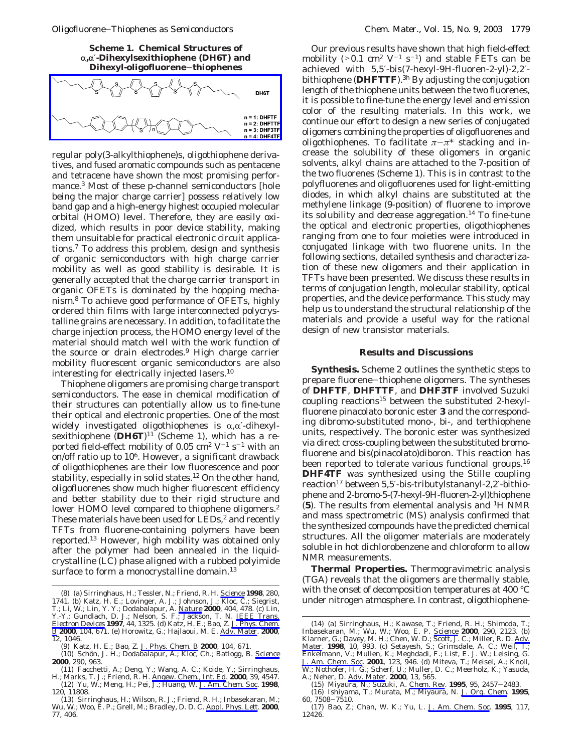**Scheme 1. Chemical Structures of** r**,**r′**-Dihexylsexithiophene (DH6T) and Dihexyl-oligofluorene**[-](http://dontstartme.literatumonline.com/action/showImage?doi=10.1021/cm020866z&iName=master.img-000.png&w=239&h=64)**thiophenes**



regular poly(3-alkylthiophene)s, oligothiophene derivatives, and fused aromatic compounds such as pentacene and tetracene have shown the most promising performance.3 Most of these p-channel semiconductors [hole being the major charge carrier] possess relatively low band gap and a high-energy highest occupied molecular orbital (HOMO) level. Therefore, they are easily oxidized, which results in poor device stability, making them unsuitable for practical electronic circuit applications.7 To address this problem, design and synthesis of organic semiconductors with high charge carrier mobility as well as good stability is desirable. It is generally accepted that the charge carrier transport in organic OFETs is dominated by the hopping mechanism.8 To achieve good performance of OFETs, highly ordered thin films with large interconnected polycrystalline grains are necessary. In addition, to facilitate the charge injection process, the HOMO energy level of the material should match well with the work function of the source or drain electrodes.9 High charge carrier mobility fluorescent organic semiconductors are also interesting for electrically injected lasers.10

Thiophene oligomers are promising charge transport semiconductors. The ease in chemical modification of their structures can potentially allow us to fine-tune their optical and electronic properties. One of the most widely investigated oligothiophenes is  $\alpha, \alpha'$ -dihexylsexithiophene (DH6T)<sup>11</sup> (Scheme 1), which has a reported field-effect mobility of 0.05 cm<sup>2</sup> V<sup>-1</sup> s<sup>-1</sup> with an on/off ratio up to  $10^6$ . However, a significant drawback of oligothiophenes are their low fluorescence and poor stability, especially in solid states.<sup>12</sup> On the other hand, oligofluorenes show much higher fluorescent efficiency and better stability due to their rigid structure and lower HOMO level compared to thiophene oligomers.<sup>2</sup> These materials have been used for LEDs,<sup>2</sup> and recently TFTs from fluorene-containing polymers have been reported.13 However, high mobility was obtained only after the polymer had been annealed in the liquidcrystalline (LC) phase aligned with a rubbed polyimide surface to form a monocrystalline domain.<sup>13</sup>

Our previous results have shown that high field-effect mobility (>0.1 cm<sup>2</sup> V<sup>-1</sup> s<sup>-1</sup>) and stable FETs can be achieved with 5,5′-bis(7-hexyl-9*H*-fluoren-2-yl)-2,2′ bithiophene (**DHFTTF**).3h By adjusting the conjugation length of the thiophene units between the two fluorenes, it is possible to fine-tune the energy level and emission color of the resulting materials. In this work, we continue our effort to design a new series of conjugated oligomers combining the properties of oligofluorenes and oligothiophenes. To facilitate  $\pi-\pi^*$  stacking and increase the solubility of these oligomers in organic solvents, alkyl chains are attached to the 7-position of the two fluorenes (Scheme 1). This is in contrast to the polyfluorenes and oligofluorenes used for light-emitting diodes, in which alkyl chains are substituted at the methylene linkage (9-position) of fluorene to improve its solubility and decrease aggregation.<sup>14</sup> To fine-tune the optical and electronic properties, oligothiophenes ranging from one to four moieties were introduced in conjugated linkage with two fluorene units. In the following sections, detailed synthesis and characterization of these new oligomers and their application in TFTs have been presented. We discuss these results in terms of conjugation length, molecular stability, optical properties, and the device performance. This study may help us to understand the structural relationship of the materials and provide a useful way for the rational design of new transistor materials.

#### **Results and Discussions**

**Synthesis.** Scheme 2 outlines the synthetic steps to prepare fluorene-thiophene oligomers. The syntheses of **DHFTF**, **DHFTTF**, and **DHF3TF** involved Suzuki coupling reactions<sup>15</sup> between the substituted 2-hexylfluorene pinacolato boronic ester **3** and the corresponding dibromo-substituted mono-, bi-, and terthiophene units, respectively. The boronic ester was synthesized via direct cross-coupling between the substituted bromofluorene and bis(pinacolato)diboron. This reaction has been reported to tolerate various functional groups.<sup>16</sup> **DHF4TF** was synthesized using the Stille coupling reaction<sup>17</sup> between 5,5'-bis-tributylstananyl-2,2'-bithiophene and 2-bromo-5-(7-hexyl-9*H*-fluoren-2-yl)thiophene (**5**). The results from elemental analysis and 1H NMR and mass spectrometric (MS) analysis confirmed that the synthesized compounds have the predicted chemical structures. All the oligomer materials are moderately soluble in hot dichlorobenzene and chloroform to allow NMR measurements.

**Thermal Properties.** Thermogravimetric analysis (TGA) reveals that the oligomers are thermally stable, with the onset of decomposition temperatures at 400 °C

<sup>(8) (</sup>a) Sirringhaus, H.; Tessler, N.; Friend, R. H. *Science* **1998**, 280,<br>1741. (b) Katz, H. E.; Lovinger, A. J.; Johnson, J.; Kloc, C.; Siegrist, under nitrogen atmosphere. In contrast, oligothiophene-<br>T.; Li, W.; Lin, Y *Electron Devices* **1997**, *44*, 1325. (d) Katz, H. E.; Bao, Z. *J. Phys. Chem. B* **2000**, *104*, 671. (e) Horowitz, G.; Hajlaoui, M. E. *Adv. Mater.* **2000**, *12*, 1046.

<sup>(9)</sup> Katz, H. E.; Bao, Z. *J. Phys. Chem. B* 2000, 104, 671.<br>(10) Schön, J. H.; Dodabalapur, A.; Kloc, Ch.; Batlogg, B. <u>*Science*</u> **2000**, *290*, 963.

<sup>(11)</sup> Facchetti, A.; Deng, Y.; Wang, A. C.; Koide, Y.; Sirringhaus, H.; Marks, T. J.; Friend, R. H. *Angew. Chem., Int. Ed*. **2000**, *39*, 4547.

<sup>(12)</sup> Yu, W.; Meng, H.; Pei, J.; Huang, W. *J. Am. Chem. Soc*. **1998**, *120*, 11808.

<sup>(13)</sup> Sirringhaus, H.; Wilson, R. J.; Friend, R. H.; Inbasekaran, M.; Wu, W.; Woo, E. P.; Grell, M.; Bradley, D. D. C. *Appl. Phys. Lett.* **2000**, *77*, 406.

<sup>(14) (</sup>a) Sirringhaus, H.; Kawase, T.; Friend, R. H.; Shimoda, T.; Inbasekaran, M.; Wu, W.; Woo, E. P. *Science* **2000**, *290*, 2123. (b) Klarner, G.; Davey, M. H.; Chen, W. D.; Scott, J. C.; Miller, R. D. *Adv. Mater.* **1998**, *10*, 993. (c) Setayesh, S.; Grimsdale, A. C.; Weil, T.; Enkelmann, V.; Mullen, K.; Meghdadi, F.; List, E. J. W.; Leising, G. *J. Am. Chem. Soc.* **2001**, *123*, 946. (d) Miteva, T.; Meisel, A.; Knoll, W.; Nothofer, H. G.; Scherf, U.; Muller, D. C.; Meerholz, K.; Yasuda, A.; Neher, D. *Adv. Mater.* **2000**, *13*, 565.

<sup>(15)</sup> Miyaura, N.; Suzuki, A. *Chem. Rev*. **<sup>1995</sup>**, *<sup>95</sup>*, 2457-2483. (16) Ishiyama, T.; Murata, M.; Miyaura, N. *J. Org. Chem.* **1995**,

*<sup>60</sup>*, 7508-7510.

<sup>(17)</sup> Bao, Z.; Chan, W. K.; Yu, L. *J. Am. Chem. Soc*. **1995**, *117*, 12426.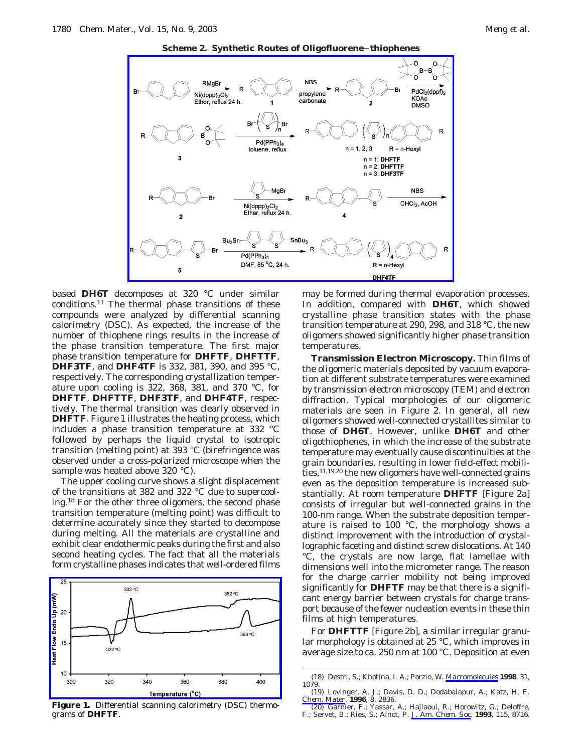



based **DH6T** decomposes at 320 °C under similar conditions.11 The thermal phase transitions of these compounds were analyzed by differential scanning calorimetry (DSC). As expected, the increase of the number of thiophene rings results in the increase of the phase transition temperature. The first major phase transition temperature for **DHFTF**, **DHFTTF**, **DHF3TF**, and **DHF4TF** is 332, 381, 390, and 395 °C, respectively. The corresponding crystallization temperature upon cooling is 322, 368, 381, and 370 °C, for **DHFTF**, **DHFTTF**, **DHF3TF**, and **DHF4TF**, respectively. The thermal transition was clearly observed in **DHFTF**. Figure 1 illustrates the heating process, which includes a phase transition temperature at 332 °C followed by perhaps the liquid crystal to isotropic transition (melting point) at 393 °C (birefringence was observed under a cross-polarized microscope when the sample was heated above 320 °C).

The upper cooling curve shows a slight displacement of the transitions at 382 and 322 °C due to supercooling.18 For the other three oligomers, the second phase transition temperature (melting point) was difficult to determine accurately since they started to decompose during melting. All the materials are crystalline and exhibit clear endothermic peaks during the first and also second heating cycles. The fact that all the materials form crystalline phases indicates that well-ordered films



**Figure 1.** Differential scanning calorimetry (DSC) thermograms of **DHFTF**.

may be formed during thermal evaporation processes. In addition, compared with **DH6T**, which showed crystalline phase transition states with the phase transition temperature at 290, 298, and 318 °C, the new oligomers showed significantly higher phase transition temperatures.

**Transmission Electron Microscopy.** Thin films of the oligomeric materials deposited by vacuum evaporation at different substrate temperatures were examined by transmission electron microscopy (TEM) and electron diffraction. Typical morphologies of our oligomeric materials are seen in Figure 2. In general, all new oligomers showed well-connected crystallites similar to those of **DH6T**. However, unlike **DH6T** and other oligothiophenes, in which the increase of the substrate temperature may eventually cause discontinuities at the grain boundaries, resulting in lower field-effect mobilities,11,19,20 the new oligomers have well-connected grains even as the deposition temperature is increased substantially. At room temperature **DHFTF** [Figure 2a] consists of irregular but well-connected grains in the 100-nm range. When the substrate deposition temperature is raised to 100 °C, the morphology shows a distinct improvement with the introduction of crystallographic faceting and distinct screw dislocations. At 140 °C, the crystals are now large, flat lamellae with dimensions well into the micrometer range. The reason for the charge carrier mobility not being improved significantly for **DHFTF** may be that there is a significant energy barrier between crystals for charge transport because of the fewer nucleation events in these thin films at high temperatures.

For **DHFTTF** [Figure 2b], a similar irregular granular morphology is obtained at 25 °C, which improves in average size to ca. 250 nm at 100 °C. Deposition at even

<sup>(18)</sup> Destri, S.; Khotina, I. A.; Porzio, W. *Macromolecules* **1998**, *31*, 1079.

<sup>(19)</sup> Lovinger, A. J.; Davis, D. D.; Dodabalapur, A.; Katz, H. E. *Chem. Mater*. **1996**, *8*, 2836.

<sup>(20)</sup> Garnier, F.; Yassar, A.; Hajlaoui, R.; Horowitz, G.; Deloffre, F.; Servet, B.; Ries, S.; Alnot, P. *J. Am. Chem. Soc.* **1993**, *115*, 8716.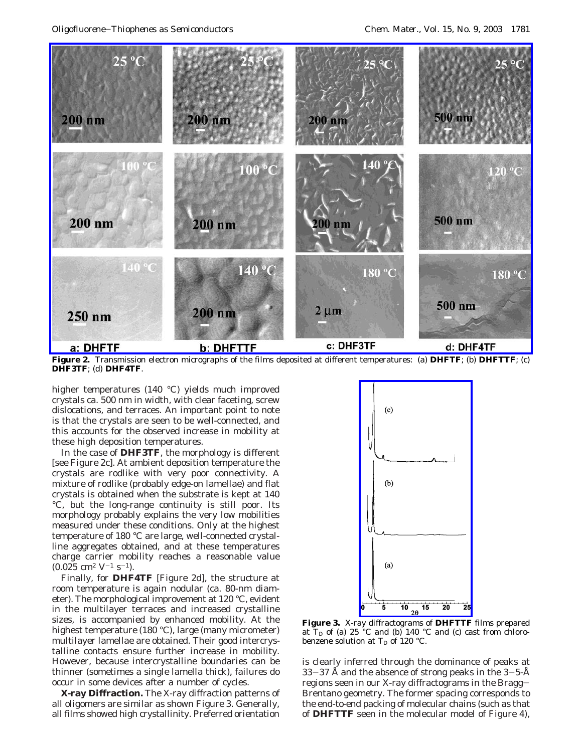

**Figure 2.** Transmission electron micrographs of the films deposited at different temperatures: (a) **DHFTF**; (b) **DHFTTF**; (c) **DHF3TF**; (d) **DHF4TF**.

higher temperatures (140 °C) yields much improved crystals ca. 500 nm in width, with clear faceting, screw dislocations, and terraces. An important point to note is that the crystals are seen to be well-connected, and this accounts for the observed increase in mobility at these high deposition temperatures.

In the case of **DHF3TF**, the morphology is different [see Figure 2c]. At ambient deposition temperature the crystals are rodlike with very poor connectivity. A mixture of rodlike (probably edge-on lamellae) and flat crystals is obtained when the substrate is kept at 140 °C, but the long-range continuity is still poor. Its morphology probably explains the very low mobilities measured under these conditions. Only at the highest temperature of 180 °C are large, well-connected crystalline aggregates obtained, and at these temperatures charge carrier mobility reaches a reasonable value  $(0.025 \text{ cm}^2 \text{ V}^{-1} \text{ s}^{-1}).$ 

Finally, for **DHF4TF** [Figure 2d], the structure at room temperature is again nodular (ca. 80-nm diameter). The morphological improvement at 120 °C, evident in the multilayer terraces and increased crystalline sizes, is accompanied by enhanced mobility. At the highest temperature (180 °C), large (many micrometer) multilayer lamellae are obtained. Their good intercrystalline contacts ensure further increase in mobility. However, because intercrystalline boundaries can be thinner (sometimes a single lamella thick), failures do occur in some devices after a number of cycles.

**X-ray Diffraction.** The X-ray diffraction patterns of all oligomers are similar as shown Figure 3. Generally, all films showed high crystallinity. Preferred orientation



**Figure 3.** X-ray diffractograms of **DHFTTF** films prepared at  $T_D$  of (a) 25 °C and (b) 140 °C and (c) cast from chlorobenzene solution at  $T_D$  of 120 °C.

is clearly inferred through the dominance of peaks at 33-37 Å and the absence of strong peaks in the  $3-5-\text{\AA}$ regions seen in our X-ray diffractograms in the Bragg-Brentano geometry. The former spacing corresponds to the end-to-end packing of molecular chains (such as that of **DHFTTF** seen in the molecular model of Figure 4),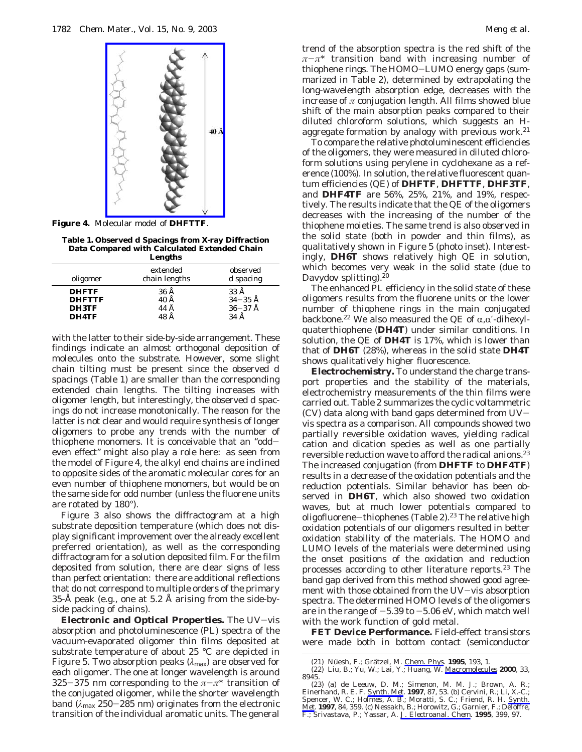

**Figure 4.** Molecular model of **DHFTTF**.

**Table 1. Observed** *d* **Spacings from X-ray Diffraction Data Compared with Calculated Extended Chain Lengths**

|                                                 | -------                      |                                                      |  |
|-------------------------------------------------|------------------------------|------------------------------------------------------|--|
| oligomer                                        | extended<br>chain lengths    | observed<br>$d$ spacing                              |  |
| <b>DHFTF</b><br><b>DHFTTF</b><br>DH3TF<br>DH4TF | 36 Å<br>40 Å<br>44 Å<br>48 Å | 33 Å<br>$34 - 35$ Å<br>$36 - 37$ Å<br>$34 \text{ Å}$ |  |

with the latter to their side-by-side arrangement. These findings indicate an almost orthogonal deposition of molecules onto the substrate. However, some slight chain tilting must be present since the observed *d* spacings (Table 1) are smaller than the corresponding extended chain lengths. The tilting increases with oligomer length, but interestingly, the observed *d* spacings do not increase monotonically. The reason for the latter is not clear and would require synthesis of longer oligomers to probe any trends with the number of thiophene monomers. It is conceivable that an "oddeven effect" might also play a role here: as seen from the model of Figure 4, the alkyl end chains are inclined to opposite sides of the aromatic molecular cores for an even number of thiophene monomers, but would be on the same side for odd number (unless the fluorene units are rotated by 180°).

Figure 3 also shows the diffractogram at a high substrate deposition temperature (which does not display significant improvement over the already excellent preferred orientation), as well as the corresponding diffractogram for a solution deposited film. For the film deposited from solution, there are clear signs of less than perfect orientation: there are additional reflections that do not correspond to multiple orders of the primary 35-Å peak (e.g., one at 5.2 Å arising from the side-byside packing of chains).

**Electronic and Optical Properties.** The UV-vis absorption and photoluminescence (PL) spectra of the vacuum-evaporated oligomer thin films deposited at substrate temperature of about 25 °C are depicted in Figure 5. Two absorption peaks (*λ*max) are observed for each oligomer. The one at longer wavelength is around 325-375 nm corresponding to the  $\pi-\pi^*$  transition of the conjugated oligomer, while the shorter wavelength band (*λ*max <sup>250</sup>-285 nm) originates from the electronic transition of the individual aromatic units. The general

trend of the absorption spectra is the red shift of the *<sup>π</sup>*-*π*\* transition band with increasing number of thiophene rings. The HOMO-LUMO energy gaps (summarized in Table 2), determined by extrapolating the long-wavelength absorption edge, decreases with the increase of *π* conjugation length. All films showed blue shift of the main absorption peaks compared to their diluted chloroform solutions, which suggests an *H*aggregate formation by analogy with previous work.<sup>21</sup>

To compare the relative photoluminescent efficiencies of the oligomers, they were measured in diluted chloroform solutions using perylene in cyclohexane as a reference (100%). In solution, the relative fluorescent quantum efficiencies (QE) of **DHFTF**, **DHFTTF**, **DHF3TF**, and **DHF4TF** are 56%, 25%, 21%, and 19%, respectively. The results indicate that the QE of the oligomers decreases with the increasing of the number of the thiophene moieties. The same trend is also observed in the solid state (both in powder and thin films), as qualitatively shown in Figure 5 (photo inset). Interestingly, **DH6T** shows relatively high QE in solution, which becomes very weak in the solid state (due to Davydov splitting).<sup>20</sup>

The enhanced PL efficiency in the solid state of these oligomers results from the fluorene units or the lower number of thiophene rings in the main conjugated backbone.<sup>22</sup> We also measured the QE of  $\alpha,\alpha'$ -dihexylquaterthiophene (**DH4T**) under similar conditions. In solution, the QE of **DH4T** is 17%, which is lower than that of **DH6T** (28%), whereas in the solid state **DH4T** shows qualitatively higher fluorescence.

**Electrochemistry.** To understand the charge transport properties and the stability of the materials, electrochemistry measurements of the thin films were carried out. Table 2 summarizes the cyclic voltammetric  $(CV)$  data along with band gaps determined from  $UV$ vis spectra as a comparison. All compounds showed two partially reversible oxidation waves, yielding radical cation and dication species as well as one partially reversible reduction wave to afford the radical anions.23 The increased conjugation (from **DHFTF** to **DHF4TF**) results in a decrease of the oxidation potentials and the reduction potentials. Similar behavior has been observed in **DH6T**, which also showed two oxidation waves, but at much lower potentials compared to oligofluorene-thiophenes (Table 2).<sup>23</sup> The relative high oxidation potentials of our oligomers resulted in better oxidation stability of the materials. The HOMO and LUMO levels of the materials were determined using the onset positions of the oxidation and reduction processes according to other literature reports.23 The band gap derived from this method showed good agreement with those obtained from the UV-vis absorption spectra. The determined HOMO levels of the oligomers are in the range of  $-5.39$  to  $-5.06$  eV, which match well with the work function of gold metal.

**FET Device Performance.** Field-effect transistors were made both in bottom contact (semiconductor

<sup>(21)</sup> Nüesh, F.; Grätzel, M. <u>*Chem. Phys*. **1995**, *193*, 1.<br>(22) Liu, B.; Yu, W.; Lai, Y.; Huang, W. <u>*Macromolecules</u> 2000, 33,*</u></u>

<sup>8945.</sup>

<sup>(23) (</sup>a) de Leeuw, D. M.; Simenon, M. M. J.; Brown, A. R.; Einerhand, R. E. F. *Synth. Met.* **1997**, 87, 53. (b) Cervini, R.; Li, X.-C.; Spencer, W. C.; Holmes, A. B.; Moratti, S. C.; Friend, R. H. *Synth.*  $\frac{Met}{1997}$ ,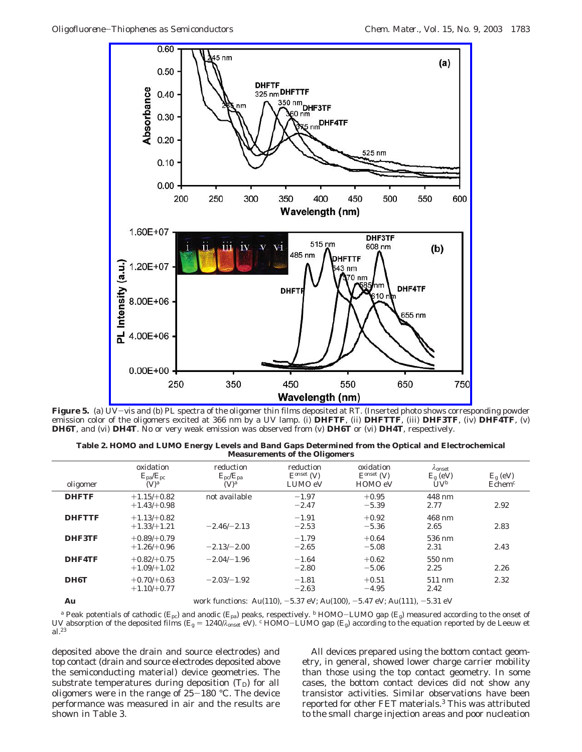

**Figure 5.** (a) UV-vis and (b) PL spectra of the oligomer thin films deposited at RT. (Inserted photo shows corresponding powder emission color of the oligomers excited at 366 nm by a UV lamp. (i) **DHFTF**, (ii) **DHFTTF**, (iii) **DHF3TF**, (iv) **DHF4TF**, (v) **DH6T**, and (vi) **DH4T**. No or very weak emission was observed from (v) **DH6T** or (vi) **DH4T**, respectively.

**Table 2. HOMO and LUMO Energy Levels and Band Gaps Determined from the Optical and Electrochemical Measurements of the Oligomers**

| oligomer      | oxidation<br>$E_{\rm pa}/E_{\rm pc}$<br>(V) <sup>a</sup> | reduction<br>$E_{\rm pc}/E_{\rm pa}$<br>(V) <sup>a</sup> | reduction<br>$Eonset$ (V)<br>LUMO eV | oxidation<br>$Eonset$ (V)<br>HOMO eV      | $\lambda$ onset<br>$E_{\rm g}$ (eV)<br>$UV^b$ | $E_{\rm g}$ (eV)<br>Echem <sup>c</sup> |
|---------------|----------------------------------------------------------|----------------------------------------------------------|--------------------------------------|-------------------------------------------|-----------------------------------------------|----------------------------------------|
| <b>DHFTF</b>  | $+1.15/+0.82$<br>$+1.43/+0.98$                           | not available                                            | $-1.97$<br>$-2.47$                   | $+0.95$<br>$-5.39$                        | 448 nm<br>2.77                                | 2.92                                   |
| <b>DHFTTF</b> | $+1.13/+0.82$<br>$+1.33/+1.21$                           | $-2.46/-2.13$                                            | $-1.91$<br>$-2.53$                   | $+0.92$<br>$-5.36$                        | 468 nm<br>2.65                                | 2.83                                   |
| <b>DHF3TF</b> | $+0.89/+0.79$<br>$+1.26 + 0.96$                          | $-2.13/-2.00$                                            | $-1.79$<br>$-2.65$                   | $+0.64$<br>$-5.08$                        | 536 nm<br>2.31                                | 2.43                                   |
| <b>DHF4TF</b> | $+0.82/+0.75$<br>$+1.09/+1.02$                           | $-2.04/-1.96$                                            | $-1.64$<br>$-2.80$                   | $+0.62$<br>$-5.06$                        | 550 nm<br>2.25                                | 2.26                                   |
| DH6T          | $+0.70/+0.63$<br>$+1.10/+0.77$                           | $-2.03/-1.92$                                            | $-1.81$<br>$-2.63$                   | $+0.51$<br>$-4.95$                        | 511 nm<br>2.42                                | 2.32                                   |
|               |                                                          | $\cdots$<br>$\mathbf{A}$ $\mathbf{A}$ $\mathbf{A}$       | $M$ $OM$ $II$ $A$ $(A$ $0$ $0)$      | $\sim$ $\sim$ $\sim$ $\sim$ $\sim$ $\sim$ | $H = 0.4$                                     |                                        |

**Au** work functions: Au(110), -5.37 eV; Au(100), -5.47 eV; Au(111), -5.31 eV

*<sup>a</sup>* Peak potentials of cathodic (*E*pc) and anodic (*E*pa) peaks, respectively. *<sup>b</sup>* HOMO-LUMO gap (*E*g) measured according to the onset of UV absorption of the deposited films ( $E_{\rm g} = 1240/\lambda_{\rm onset}$  eV). *c* HOMO-LUMO gap ( $E_{\rm g}$ ) according to the equation reported by de Leeuw et al.23

deposited above the drain and source electrodes) and top contact (drain and source electrodes deposited above the semiconducting material) device geometries. The substrate temperatures during deposition  $(T_D)$  for all oligomers were in the range of  $25-180$  °C. The device performance was measured in air and the results are shown in Table 3.

All devices prepared using the bottom contact geometry, in general, showed lower charge carrier mobility than those using the top contact geometry. In some cases, the bottom contact devices did not show any transistor activities. Similar observations have been reported for other FET materials.3 This was attributed to the small charge injection areas and poor nucleation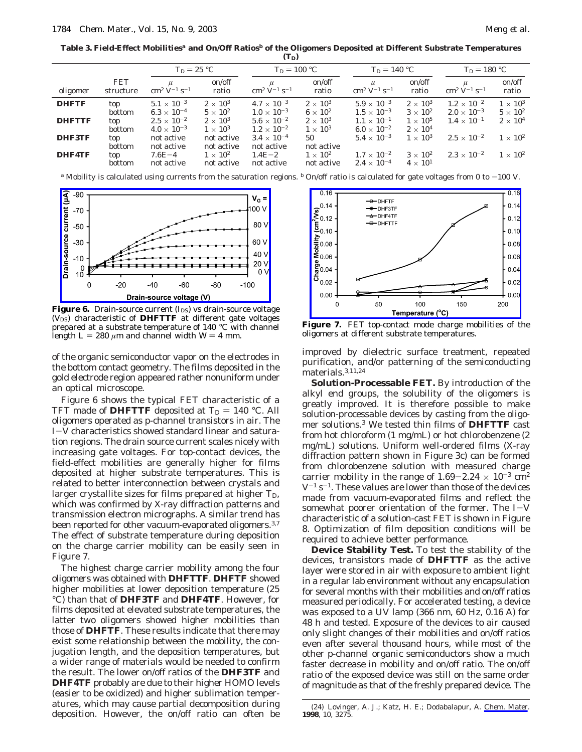**Table 3. Field-Effect Mobilities***<sup>a</sup>* **and On/Off Ratios***<sup>b</sup>* **of the Oligomers Deposited at Different Substrate Temperatures**  $(T<sub>D</sub>)$ 

| on/off<br><b>FET</b><br>on/off<br>on/off<br>$\mu$<br>$\rm cm^2 \ V^{-1} \ s^{-1}$<br>$\rm cm^2\ V^{-1}\ s^{-1}$<br>$\rm cm^2 V^{-1} s^{-1}$<br>$\rm cm^2~V^{-1}~s^{-1}$<br>ratio<br>ratio<br>ratio<br>oligomer<br>structure                                                                                                                                                                                                                                                                                                                                                                                                                                                                                                                                                                                                                                                                                                                                                                                                            | on/off<br>ratio                                                                           |
|----------------------------------------------------------------------------------------------------------------------------------------------------------------------------------------------------------------------------------------------------------------------------------------------------------------------------------------------------------------------------------------------------------------------------------------------------------------------------------------------------------------------------------------------------------------------------------------------------------------------------------------------------------------------------------------------------------------------------------------------------------------------------------------------------------------------------------------------------------------------------------------------------------------------------------------------------------------------------------------------------------------------------------------|-------------------------------------------------------------------------------------------|
|                                                                                                                                                                                                                                                                                                                                                                                                                                                                                                                                                                                                                                                                                                                                                                                                                                                                                                                                                                                                                                        |                                                                                           |
| $2 \times 10^3$<br>$4.7 \times 10^{-3}$<br>$2 \times 10^3$<br>$5.1\times10^{-3}$<br>$5.9\times10^{-3}$<br>$1.2\times10^{-2}$<br>$2 \times 10^3$<br><b>DHFTF</b><br>top<br>$1.0 \times 10^{-3}$<br>$6 \times 10^2$<br>$1.5 \times 10^{-3}$<br>$6.3 \times 10^{-4}$<br>$5 \times 10^2$<br>$3 \times 10^2$<br>$2.0 \times 10^{-3}$<br>bottom<br>$2.5\times10^{-2}$<br>$2\times10^3$<br>$5.6\times10^{-2}$<br>$2\times10^3$<br>$1.1 \times 10^{-1}$<br>$1\times10^5$<br>$1.4 \times 10^{-1}$<br><b>DHFTTF</b><br>top<br>$1.2 \times 10^{-2}$<br>$1 \times 10^3$<br>$1 \times 10^3$<br>$6.0 \times 10^{-2}$<br>$2 \times 10^4$<br>$4.0 \times 10^{-3}$<br>bottom<br>$2.5 \times 10^{-2}$<br>DHF3TF<br>$3.4 \times 10^{-4}$<br>$5.4 \times 10^{-3}$<br>$1 \times 10^3$<br>not active<br>50<br>not active<br>top<br>not active<br>not active<br>not active<br>bottom<br>not active<br>$2.3 \times 10^{-2}$<br><b>DHF4TF</b><br>$1 \times 10^2$<br>$1.7 \times 10^{-2}$<br>$3 \times 10^2$<br>$1\times10^2$<br>$1.4E - 2$<br>$7.6E - 4$<br>top | $1 \times 10^3$<br>$5 \times 10^2$<br>$2\times10^4$<br>$1 \times 10^2$<br>$1 \times 10^2$ |

*a* Mobility is calculated using currents from the saturation regions. *b* On/off ratio is calculated for gate voltages from 0 to  $-100$  V.



**Figure 6.** Drain-source current  $(I_{DS})$  vs drain-source voltage  $(V_{DS})$  characteristic of **DHFTTF** at different gate voltages prepared at a substrate temperature of 140 °C with channel length  $L = 280 \mu m$  and channel width  $W = 4 \text{ mm}$ .

of the organic semiconductor vapor on the electrodes in the bottom contact geometry. The films deposited in the gold electrode region appeared rather nonuniform under an optical microscope.

Figure 6 shows the typical FET characteristic of a TFT made of **DHFTTF** deposited at  $T_D = 140$  °C. All oligomers operated as p-channel transistors in air. The *<sup>I</sup>*-*<sup>V</sup>* characteristics showed standard linear and saturation regions. The drain source current scales nicely with increasing gate voltages. For top-contact devices, the field-effect mobilities are generally higher for films deposited at higher substrate temperatures. This is related to better interconnection between crystals and larger crystallite sizes for films prepared at higher  $T_{\text{D}}$ , which was confirmed by X-ray diffraction patterns and transmission electron micrographs. A similar trend has been reported for other vacuum-evaporated oligomers.<sup>3,7</sup> The effect of substrate temperature during deposition on the charge carrier mobility can be easily seen in Figure 7.

The highest charge carrier mobility among the four oligomers was obtained with **DHFTTF**. **DHFTF** showed higher mobilities at lower deposition temperature (25 °C) than that of **DHF3TF** and **DHF4TF**. However, for films deposited at elevated substrate temperatures, the latter two oligomers showed higher mobilities than those of **DHFTF**. These results indicate that there may exist some relationship between the mobility, the conjugation length, and the deposition temperatures, but a wider range of materials would be needed to confirm the result. The lower on/off ratios of the **DHF3TF** and **DHF4TF** probably are due to their higher HOMO levels (easier to be oxidized) and higher sublimation temperatures, which may cause partial decomposition during deposition. However, the on/off ratio can often be



**Figure 7.** FET top-contact mode charge mobilities of the oligomers at different substrate temperatures.

improved by dielectric surface treatment, repeated purification, and/or patterning of the semiconducting materials.3,11,24

**Solution-Processable FET.** By introduction of the alkyl end groups, the solubility of the oligomers is greatly improved. It is therefore possible to make solution-processable devices by casting from the oligomer solutions.3 We tested thin films of **DHFTTF** cast from hot chloroform (1 mg/mL) or hot chlorobenzene (2 mg/mL) solutions. Uniform well-ordered films (X-ray diffraction pattern shown in Figure 3c) can be formed from chlorobenzene solution with measured charge carrier mobility in the range of  $1.69-2.24 \times 10^{-3}$  cm<sup>2</sup>  $V^{-1}$  s<sup>-1</sup>. These values are lower than those of the devices made from vacuum-evaporated films and reflect the somewhat poorer orientation of the former. The *<sup>I</sup>*-*<sup>V</sup>* characteristic of a solution-cast FET is shown in Figure 8. Optimization of film deposition conditions will be required to achieve better performance.

**Device Stability Test.** To test the stability of the devices, transistors made of **DHFTTF** as the active layer were stored in air with exposure to ambient light in a regular lab environment without any encapsulation for several months with their mobilities and on/off ratios measured periodically. For accelerated testing, a device was exposed to a UV lamp (366 nm, 60 Hz, 0.16 A) for 48 h and tested. Exposure of the devices to air caused only slight changes of their mobilities and on/off ratios even after several thousand hours, while most of the other p-channel organic semiconductors show a much faster decrease in mobility and on/off ratio. The on/off ratio of the exposed device was still on the same order of magnitude as that of the freshly prepared device. The

<sup>(24)</sup> Lovinger, A. J.; Katz, H. E.; Dodabalapur, A. *Chem. Mater*. **1998**, *10*, 3275.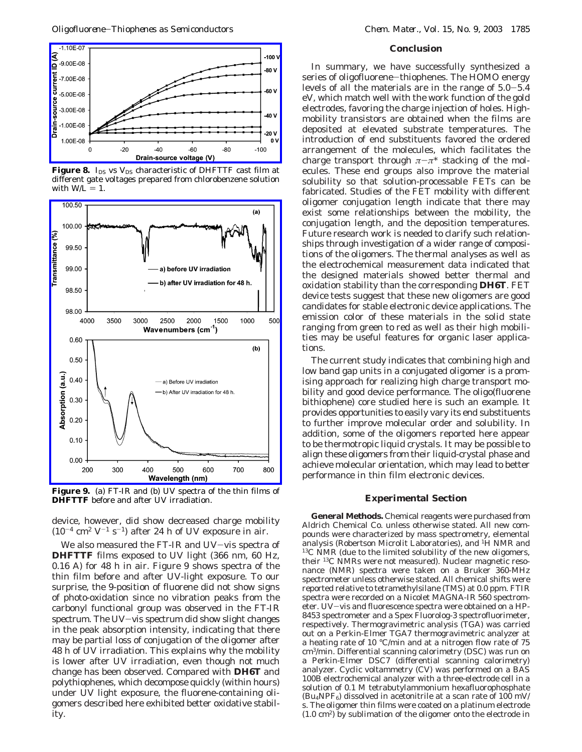

**Figure 8.** *I*<sub>DS</sub> vs *V*<sub>DS</sub> characteristic of DHFTTF cast film at different gate voltages prepared from chlorobenzene solution with  $W/L = 1$ .



**Figure 9.** (a) FT-IR and (b) UV spectra of the thin films of **DHFTTF** before and after UV irradiation.

device, however, did show decreased charge mobility  $(10^{-4}$  cm<sup>2</sup> V<sup>-1</sup> s<sup>-1</sup>) after 24 h of UV exposure in air.

We also measured the FT-IR and UV-vis spectra of **DHFTTF** films exposed to UV light (366 nm, 60 Hz, 0.16 A) for 48 h in air. Figure 9 shows spectra of the thin film before and after UV-light exposure. To our surprise, the 9-position of fluorene did not show signs of photo-oxidation since no vibration peaks from the carbonyl functional group was observed in the FT-IR spectrum. The UV-vis spectrum did show slight changes in the peak absorption intensity, indicating that there may be partial loss of conjugation of the oligomer after 48 h of UV irradiation. This explains why the mobility is lower after UV irradiation, even though not much change has been observed. Compared with **DH6T** and polythiophenes, which decompose quickly (within hours) under UV light exposure, the fluorene-containing oligomers described here exhibited better oxidative stability.

## **Conclusion**

In summary, we have successfully synthesized a series of oligofluorene-thiophenes. The HOMO energy levels of all the materials are in the range of 5.0-5.4 eV, which match well with the work function of the gold electrodes, favoring the charge injection of holes. Highmobility transistors are obtained when the films are deposited at elevated substrate temperatures. The introduction of end substituents favored the ordered arrangement of the molecules, which facilitates the charge transport through  $\pi-\pi^*$  stacking of the molecules. These end groups also improve the material solubility so that solution-processable FETs can be fabricated. Studies of the FET mobility with different oligomer conjugation length indicate that there may exist some relationships between the mobility, the conjugation length, and the deposition temperatures. Future research work is needed to clarify such relationships through investigation of a wider range of compositions of the oligomers. The thermal analyses as well as the electrochemical measurement data indicated that the designed materials showed better thermal and oxidation stability than the corresponding **DH6T**. FET device tests suggest that these new oligomers are good candidates for stable electronic device applications. The emission color of these materials in the solid state ranging from green to red as well as their high mobilities may be useful features for organic laser applications.

The current study indicates that combining high and low band gap units in a conjugated oligomer is a promising approach for realizing high charge transport mobility and good device performance. The oligo(fluorene bithiophene) core studied here is such an example. It provides opportunities to easily vary its end substituents to further improve molecular order and solubility. In addition, some of the oligomers reported here appear to be thermotropic liquid crystals. It may be possible to align these oligomers from their liquid-crystal phase and achieve molecular orientation, which may lead to better performance in thin film electronic devices.

# **Experimental Section**

**General Methods.** Chemical reagents were purchased from Aldrich Chemical Co. unless otherwise stated. All new compounds were characterized by mass spectrometry, elemental analysis (Robertson Microlit Laboratories), and <sup>1</sup>H NMR and <sup>13</sup>C NMR (due to the limited solubility of the new oligomers, their 13C NMRs were not measured). Nuclear magnetic resonance (NMR) spectra were taken on a Bruker 360-MHz spectrometer unless otherwise stated. All chemical shifts were reported relative to tetramethylsilane (TMS) at 0.0 ppm. FTIR spectra were recorded on a Nicolet MAGNA-IR 560 spectrometer. UV-vis and fluorescence spectra were obtained on a HP-8453 spectrometer and a Spex Fluorolog-3 spectrofluorimeter, respectively. Thermogravimetric analysis (TGA) was carried out on a Perkin-Elmer TGA7 thermogravimetric analyzer at a heating rate of 10 °C/min and at a nitrogen flow rate of 75 cm3/min. Differential scanning calorimetry (DSC) was run on a Perkin-Elmer DSC7 (differential scanning calorimetry) analyzer. Cyclic voltammetry (CV) was performed on a BAS 100B electrochemical analyzer with a three-electrode cell in a solution of 0.1 M tetrabutylammonium hexafluorophosphate  $(Bu_4NPF_6)$  dissolved in acetonitrile at a scan rate of 100 mV/ s. The oligomer thin films were coated on a platinum electrode (1.0 cm2) by sublimation of the oligomer onto the electrode in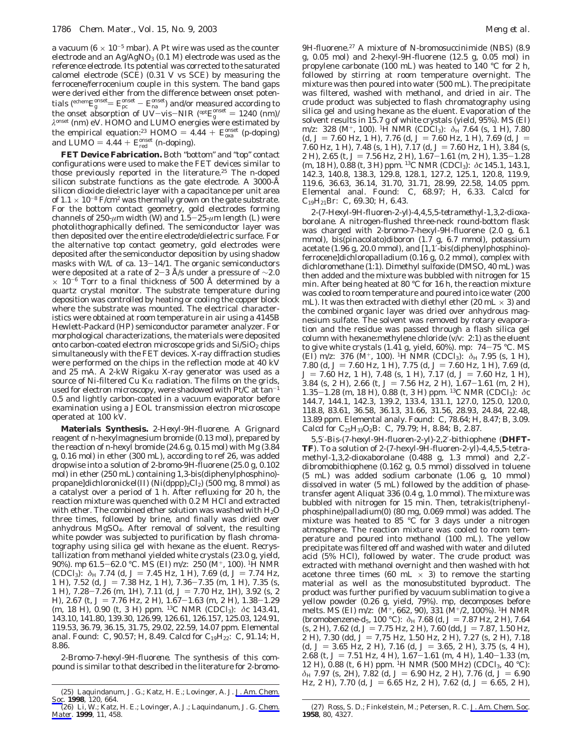a vacuum ( $6 \times 10^{-5}$  mbar). A Pt wire was used as the counter electrode and an  $Ag/AgNO<sub>3</sub>$  (0.1 M) electrode was used as the reference electrode. Its potential was corrected to the saturated calomel electrode (SCE) (0.31 V vs SCE) by measuring the ferrocene/ferrocenium couple in this system. The band gaps were derived either from the difference between onset potentials (<sup>echem</sup> $E_g^{\text{onset}} = E_g^{\text{onset}} - E_n^{\text{onset}}$ ) and/or measured according to<br>the onset absorption of  $I_0^{\text{IV}-\text{vio}-\text{NIP}}$  (ept  $E_g^{\text{onset}} = 1240$  (nm) the onset absorption of UV–vis–NIR (<sup>opt</sup>*E*<sup>gnset</sup> = 1240 (nm)/<br>λ<sup>onset</sup> (nm) eV. HOMO and LUMO energies were estimated by the empirical equation:<sup>23</sup> HOMO =  $4.44 + E_{oxa}^{onset}$  (p-doping)<br>and  $1 \text{ LMO} = 4.44 + E_{onset}^{onset}$  (p-doping) and LUMO =  $4.44 + E_{\text{red}}^{\text{onset}}$  (n-doping).

**FET Device Fabrication.** Both "bottom" and "top" contact configurations were used to make the FET devices similar to those previously reported in the literature.<sup>25</sup> The n-doped silicon substrate functions as the gate electrode. A 3000-Å silicon dioxide dielectric layer with a capacitance per unit area of  $1.1 \times 10^{-8}$  F/cm<sup>2</sup> was thermally grown on the gate substrate. For the bottom contact geometry, gold electrodes forming channels of 250- $\mu$ m width (*W*) and 1.5-25- $\mu$ m length (*L*) were photolithographically defined. The semiconductor layer was then deposited over the entire electrode/dielectric surface. For the alternative top contact geometry, gold electrodes were deposited after the semiconductor deposition by using shadow masks with *W/L* of ca. 13-14/1. The organic semiconductors were deposited at a rate of 2–3 Å/s under a pressure of  $\sim$ 2.0  $\times$  10<sup>-6</sup> Torr to a final thickness of 500 Å determined by a quartz crystal monitor. The substrate temperature during deposition was controlled by heating or cooling the copper block where the substrate was mounted. The electrical characteristics were obtained at room temperature in air using a 4145B Hewlett-Packard (HP) semiconductor parameter analyzer. For morphological characterizations, the materials were deposited onto carbon-coated electron microscope grids and  $Si/SiO<sub>2</sub>$  chips simultaneously with the FET devices. X-ray diffraction studies were performed on the chips in the reflection mode at 40 kV and 25 mA. A 2-kW Rigaku X-ray generator was used as a source of Ni-filtered Cu K $\alpha$  radiation. The films on the grids, used for electron microscopy, were shadowed with Pt/C at tan<sup>-1</sup> 0.5 and lightly carbon-coated in a vacuum evaporator before examination using a JEOL transmission electron microscope operated at 100 kV.

**Materials Synthesis.** *2-Hexyl-9H-fluorene.* A Grignard reagent of *n*-hexylmagnesium bromide (0.13 mol), prepared by the reaction of *n*-hexyl bromide (24.6 g, 0.15 mol) with Mg (3.84 g, 0.16 mol) in ether (300 mL), according to ref 26, was added dropwise into a solution of 2-bromo-9*H*-fluorene (25.0 g, 0.102 mol) in ether (250 mL) containing 1,3-bis(diphenylphosphino) propane]dichloronickel(II) (Ni(dppp)<sub>2</sub>Cl<sub>2</sub>) (500 mg, 8 mmol) as a catalyst over a period of 1 h. After refluxing for 20 h, the reaction mixture was quenched with 0.2 M HCl and extracted with ether. The combined ether solution was washed with  $H_2O$ three times, followed by brine, and finally was dried over anhydrous MgSO4. After removal of solvent, the resulting white powder was subjected to purification by flash chromatography using silica gel with hexane as the eluent. Recrystallization from methanol yielded white crystals (23.0 g, yield, 90%). mp 61.5-62.0 °C. MS (EI) *<sup>m</sup>*/*z*: 250 (M+, 100). 1H NMR  $(CDCI_3)$ :  $\delta_H$  7.74 (d,  $J = 7.45$  Hz, 1 H), 7.69 (d,  $J = 7.74$  Hz, 1 H), 7.52 (d, J = 7.38 Hz, 1 H), 7.36-7.35 (m, 1 H), 7.35 (s, 1 H), 7.28-7.26 (m, 1H), 7.11 (d, *J* = 7.70 Hz, 1H), 3.92 (s, 2 H), 2.67 (t, *J* = 7.76 Hz, 2 H), 1.67-1.63 (m, 2 H), 1.38-1.29 H), 2.67 (t, *J* = 7.76 Hz, 2 H), 1.67–1.63 (m, 2 H), 1.38–1.29 (m, 18 H), 0.90 (t, 3 H) ppm. <sup>13</sup>C NMR (CDCl<sub>3</sub>): *δ*c 143.41, 143.10, 141.80, 139.30, 126.99, 126.61, 126.157, 125.03, 124.91, 119.53, 36.79, 36.15, 31.75, 29.02, 22.59, 14.07 ppm. Elemental anal. Found: C, 90.57; H, 8.49. Calcd for  $C_{19}H_{22}$ : C, 91.14; H, 8.86.

*2-Bromo-7-hexyl-9H-fluorene.* The synthesis of this compound is similar to that described in the literature for 2-bromo9*H*-fluorene.27 A mixture of *N*-bromosuccinimide (NBS) (8.9 g, 0.05 mol) and 2-hexyl-9*H*-fluorene (12.5 g, 0.05 mol) in propylene carbonate (100 mL) was heated to 140 °C for 2 h, followed by stirring at room temperature overnight. The mixture was then poured into water (500 mL). The precipitate was filtered, washed with methanol, and dried in air. The crude product was subjected to flash chromatography using silica gel and using hexane as the eluent. Evaporation of the solvent results in 15.7 g of white crystals (yield, 95%). MS (EI) *m*/*z*: 328 (M<sup>+</sup>, 100). <sup>1</sup>H NMR (CDCl<sub>3</sub>):  $\delta$ <sub>H</sub> 7.64 (s, 1 H), 7.80  $(d, J = 7.60$  Hz, 1 H), 7.76  $(d, J = 7.60$  Hz, 1 H), 7.69  $(d, J = 1)$ 7.60 Hz, 1 H), 7.48 (s, 1 H), 7.17 (d,  $J = 7.60$  Hz, 1 H), 3.84 (s, 2 H), 2.65 (t,  $J = 7.56$  Hz, 2 H), 1.67-1.61 (m, 2 H), 1.35-1.28 (m, 18 H), 0.88 (t, 3 H) ppm. 13C NMR (CDCl3): *δ*c 145.1, 143.1, 142.3, 140.8, 138.3, 129.8, 128.1, 127.2, 125.1, 120.8, 119.9, 119.6, 36.63, 36.14, 31.70, 31.71, 28.99, 22.58, 14.05 ppm. Elemental anal. Found: C, 68.97; H, 6.33. Calcd for  $C_{19}H_{21}Br: C, 69.30; H, 6.43.$ 

*2-(7-Hexyl-9H-fluoren-2-yl)-4,4,5,5-tetramethyl-1,3,2-dioxaborolane.* A nitrogen-flushed three-neck round-bottom flask was charged with 2-bromo-7-hexyl-9*H*-fluorene (2.0 g, 6.1 mmol), bis(pinacolato)diboron (1.7 g, 6.7 mmol), potassium acetate (1.96 g, 20.0 mmol), and [1,1′-bis(diphenylphosphino) ferrocene]dichloropalladium (0.16 g, 0.2 mmol), complex with dichloromethane (1:1). Dimethyl sulfoxide (DMSO, 40 mL) was then added and the mixture was bubbled with nitrogen for 15 min. After being heated at 80 °C for 16 h, the reaction mixture was cooled to room temperature and poured into ice water (200 mL). It was then extracted with diethyl ether (20 mL  $\times$  3) and the combined organic layer was dried over anhydrous magnesium sulfate. The solvent was removed by rotary evaporation and the residue was passed through a flash silica gel column with hexane: methylene chloride  $(v/v: 2:1)$  as the eluent to give white crystals (1.41 g, yield, 60%). mp: 74–75 °C. MS<br>(EI) *m*/*z*: 376 (M<sup>+</sup>, 100). <sup>1</sup>H NMR (CDCl<sub>3</sub>): δ<sub>H</sub> 7.95 (s, 1 H), 7.80 (d,  $J = 7.60$  Hz, 1 H), 7.75 (d,  $J = 7.60$  Hz, 1 H), 7.69 (d,  $J = 7.60$  Hz, 1 H), 7.48 (s, 1 H), 7.17 (d,  $J = 7.60$  Hz, 1 H), 3.84 (s, 2 H), 2.66 (t,  $J = 7.56$  Hz, 2 H), 1.67–1.61 (m, 2 H), 3.84 (s, 2 H), 2.66 (t,  $J = 7.56$  Hz, 2 H), 1.67-1.61 (m, 2 H), 1.5-1.28 (m, 1.8 H), 0.88 (t, 3 H) npm, <sup>13</sup>C NMR (CDCl<sub>2</sub>);  $\delta$ c 1.35-1.28 (m, 18 H), 0.88 (t, 3 H) ppm. <sup>13</sup>C NMR (CDCl<sub>3</sub>): *δ*c<br>144 7 144 1 142 3 139 2 133 4 131 1 127 0 125 0 120 0 144.7, 144.1, 142.3, 139.2, 133.4, 131.1, 127.0, 125.0, 120.0, 118.8, 83.61, 36.58, 36.13, 31.66, 31.56, 28.93, 24.84, 22.48, 13.89 ppm. Elemental analy. Found: C, 78.64; H, 8.47; B, 3.09. Calcd for  $C_{25}H_{33}O_{2}B$ : C, 79.79; H, 8.84; B, 2.87.

*5,5*′*-Bis-(7-hexyl-9H-fluoren-2-yl)-2,2*′*-bithiophene (DHFT-TF).* To a solution of 2-(7-hexyl-9*H*-fluoren-2-yl)-4,4,5,5-tetramethyl-1,3,2-dioxaborolane (0.488 g, 1.3 mmol) and 2,2′ dibromobithiophene (0.162 g, 0.5 mmol) dissolved in toluene (5 mL) was added sodium carbonate (1.06 g, 10 mmol) dissolved in water (5 mL) followed by the addition of phasetransfer agent Aliquat 336 (0.4 g, 1.0 mmol). The mixture was bubbled with nitrogen for 15 min. Then, tetrakis(triphenylphosphine)palladium(0) (80 mg, 0.069 mmol) was added. The mixture was heated to 85  $\degree$ C for 3 days under a nitrogen atmosphere. The reaction mixture was cooled to room temperature and poured into methanol (100 mL). The yellow precipitate was filtered off and washed with water and diluted acid (5% HCl), followed by water. The crude product was extracted with methanol overnight and then washed with hot acetone three times (60 mL  $\times$  3) to remove the starting material as well as the monosubstituted byproduct. The product was further purified by vacuum sublimation to give a yellow powder (0.26 g, yield, 79%). mp, decomposes before melts. MS (EI) *m*/*z*: (M+, 662, 90), 331 (M+/2, 100%). 1H NMR (bromobenzene-*d*<sub>5</sub>, 100 °C):  $\delta$ <sub>H</sub> 7.68 (d, *J* = 7.87 Hz, 2 H), 7.64  $(s, 2 H)$ , 7.62 (d,  $J = 7.75$  Hz, 2 H), 7.60 (dd,  $J = 7.87$ , 1.50 Hz, 2 H), 7.30 (dd,  $J = 7.75$  Hz, 1.50 Hz, 2 H), 7.27 (s, 2 H), 7.18 (d,  $J = 3.65$  Hz, 2 H), 7.16 (d,  $J = 3.65$ , 2 H), 3.75 (s, 4 H), 2.68 (t,  $J = 7.51$  Hz, 4 H),  $1.67 - 1.61$  (m, 4 H),  $1.40 - 1.33$  (m, 12 H), 0.88 (t, 6 H) ppm. 1H NMR (500 MHz) (CDCl3, 40 °C): *δ*H 7.97 (s, 2H), 7.82 (d, *J* = 6.90 Hz, 2 H), 7.76 (d, *J* = 6.90 Hz, 2 H), 7.70 (d,  $J = 6.65$  Hz, 2 H), 7.62 (d,  $J = 6.65$ , 2 H),

<sup>(25)</sup> Laquindanum, J. G.; Katz, H. E.; Lovinger, A. J. *J. Am. Chem. Soc*. **1998**, *120*, 664.

<sup>(26)</sup> Li, W.; Katz, H. E.; Lovinger, A. J.; Laquindanum, J. G. *Chem. Mater*. **1999**, *11*, 458.

<sup>(27)</sup> Ross, S. D.; Finkelstein, M.; Petersen, R. C. *J. Am. Chem. Soc*. **1958**, *80*, 4327.